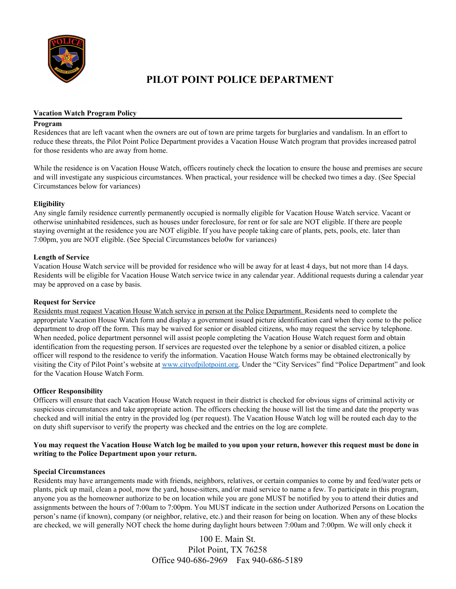

## **PILOT POINT POLICE DEPARTMENT**

#### **Vacation Watch Program Policy**

#### **Program**

Residences that are left vacant when the owners are out of town are prime targets for burglaries and vandalism. In an effort to reduce these threats, the Pilot Point Police Department provides a Vacation House Watch program that provides increased patrol for those residents who are away from home.

While the residence is on Vacation House Watch, officers routinely check the location to ensure the house and premises are secure and will investigate any suspicious circumstances. When practical, your residence will be checked two times a day. (See Special Circumstances below for variances)

### **Eligibility**

Any single family residence currently permanently occupied is normally eligible for Vacation House Watch service. Vacant or otherwise uninhabited residences, such as houses under foreclosure, for rent or for sale are NOT eligible. If there are people staying overnight at the residence you are NOT eligible. If you have people taking care of plants, pets, pools, etc. later than 7:00pm, you are NOT eligible. (See Special Circumstances belo0w for variances)

### **Length of Service**

Vacation House Watch service will be provided for residence who will be away for at least 4 days, but not more than 14 days. Residents will be eligible for Vacation House Watch service twice in any calendar year. Additional requests during a calendar year may be approved on a case by basis.

### **Request for Service**

Residents must request Vacation House Watch service in person at the Police Department. Residents need to complete the appropriate Vacation House Watch form and display a government issued picture identification card when they come to the police department to drop off the form. This may be waived for senior or disabled citizens, who may request the service by telephone. When needed, police department personnel will assist people completing the Vacation House Watch request form and obtain identification from the requesting person. If services are requested over the telephone by a senior or disabled citizen, a police officer will respond to the residence to verify the information. Vacation House Watch forms may be obtained electronically by visiting the City of Pilot Point's website at [www.cityofpilotpoint.org.](http://www.cityofpilotpoint.org/) Under the "City Services" find "Police Department" and look for the Vacation House Watch Form.

### **Officer Responsibility**

Officers will ensure that each Vacation House Watch request in their district is checked for obvious signs of criminal activity or suspicious circumstances and take appropriate action. The officers checking the house will list the time and date the property was checked and will initial the entry in the provided log (per request). The Vacation House Watch log will be routed each day to the on duty shift supervisor to verify the property was checked and the entries on the log are complete.

### You may request the Vacation House Watch log be mailed to you upon your return, however this request must be done in **writing to the Police Department upon your return.**

### **Special Circumstances**

Residents may have arrangements made with friends, neighbors, relatives, or certain companies to come by and feed/water pets or plants, pick up mail, clean a pool, mow the yard, house-sitters, and/or maid service to name a few. To participate in this program, anyone you as the homeowner authorize to be on location while you are gone MUST be notified by you to attend their duties and assignments between the hours of 7:00am to 7:00pm. You MUST indicate in the section under Authorized Persons on Location the person's name (if known), company (or neighbor, relative, etc.) and their reason for being on location. When any of these blocks are checked, we will generally NOT check the home during daylight hours between 7:00am and 7:00pm. We will only check it

> 100 E. Main St. Pilot Point, TX 76258 Office 940-686-2969 Fax 940-686-5189